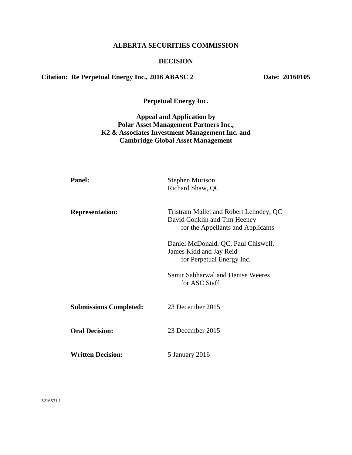# **ALBERTA SECURITIES COMMISSION**

#### **DECISION**

# Citation: Re Perpetual Energy Inc., 2016 ABASC 2 Date: 20160105

**Perpetual Energy Inc.**

# **Appeal and Application by Polar Asset Management Partners Inc., K2 & Associates Investment Management Inc. and Cambridge Global Asset Management**

| <b>Panel:</b>                 | <b>Stephen Murison</b><br>Richard Shaw, QC                                                                  |
|-------------------------------|-------------------------------------------------------------------------------------------------------------|
| <b>Representation:</b>        | Tristram Mallet and Robert Lehodey, QC<br>David Conklin and Tim Heeney<br>for the Appellants and Applicants |
|                               | Daniel McDonald, QC, Paul Chiswell,<br>James Kidd and Jay Reid<br>for Perpetual Energy Inc.                 |
|                               | Samir Sabharwal and Denise Weeres<br>for ASC Staff                                                          |
| <b>Submissions Completed:</b> | 23 December 2015                                                                                            |
| <b>Oral Decision:</b>         | 23 December 2015                                                                                            |
| <b>Written Decision:</b>      | 5 January 2016                                                                                              |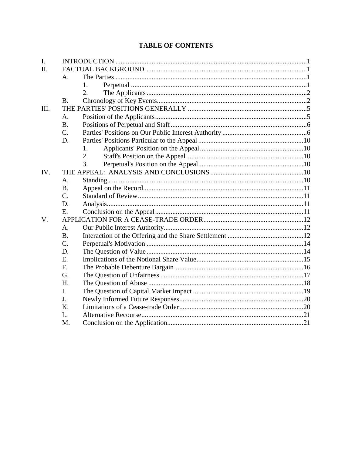# **TABLE OF CONTENTS**

| I.   |                  |    |  |
|------|------------------|----|--|
| Π.   |                  |    |  |
|      | A.               |    |  |
|      |                  | 1. |  |
|      |                  | 2. |  |
|      | <b>B.</b>        |    |  |
| III. |                  |    |  |
|      | A.               |    |  |
|      | <b>B.</b>        |    |  |
|      | C.               |    |  |
|      | D.               |    |  |
|      |                  | 1. |  |
|      |                  | 2. |  |
|      |                  | 3. |  |
| IV.  |                  |    |  |
|      | A.               |    |  |
|      | <b>B.</b>        |    |  |
|      | $\overline{C}$ . |    |  |
|      | D.               |    |  |
|      | E.               |    |  |
| V.   |                  |    |  |
|      | A.               |    |  |
|      | <b>B.</b>        |    |  |
|      | $\overline{C}$ . |    |  |
|      | D.               |    |  |
|      | Ε.               |    |  |
|      | F.               |    |  |
|      | G.               |    |  |
|      | H.               |    |  |
|      | I.               |    |  |
|      | J.               |    |  |
|      | K.               |    |  |
|      | L.               |    |  |
|      | M.               |    |  |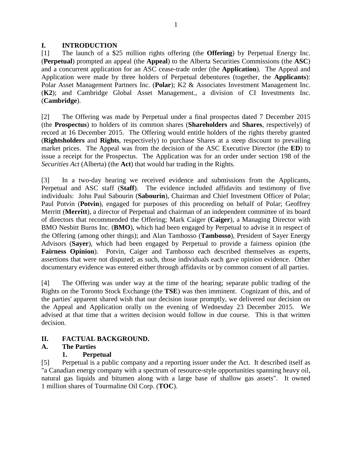#### <span id="page-2-0"></span>**I. INTRODUCTION**

[1] The launch of a \$25 million rights offering (the **Offering**) by Perpetual Energy Inc. (**Perpetual**) prompted an appeal (the **Appeal**) to the Alberta Securities Commissions (the **ASC**) and a concurrent application for an ASC cease-trade order (the **Application**). The Appeal and Application were made by three holders of Perpetual debentures (together, the **Applicants**): Polar Asset Management Partners Inc. (**Polar**); K2 & Associates Investment Management Inc. (**K2**); and Cambridge Global Asset Management., a division of CI Investments Inc. (**Cambridge**).

[2] The Offering was made by Perpetual under a final prospectus dated 7 December 2015 (the **Prospectus**) to holders of its common shares (**Shareholders** and **Shares**, respectively) of record at 16 December 2015. The Offering would entitle holders of the rights thereby granted (**Rightsholders** and **Rights**, respectively) to purchase Shares at a steep discount to prevailing market prices. The Appeal was from the decision of the ASC Executive Director (the **ED**) to issue a receipt for the Prospectus. The Application was for an order under section 198 of the *Securities Act* (Alberta) (the **Act**) that would bar trading in the Rights.

[3] In a two-day hearing we received evidence and submissions from the Applicants, Perpetual and ASC staff (**Staff**). The evidence included affidavits and testimony of five individuals: John Paul Sabourin (**Sabourin**), Chairman and Chief Investment Officer of Polar; Paul Potvin (**Potvin**), engaged for purposes of this proceeding on behalf of Polar; Geoffrey Merritt (**Merritt**), a director of Perpetual and chairman of an independent committee of its board of directors that recommended the Offering; Mark Caiger (**Caiger**), a Managing Director with BMO Nesbitt Burns Inc. (**BMO**), which had been engaged by Perpetual to advise it in respect of the Offering (among other things); and Alan Tambosso (**Tambosso**), President of Sayer Energy Advisors (**Sayer**), which had been engaged by Perpetual to provide a fairness opinion (the **Fairness Opinion**). Potvin, Caiger and Tambosso each described themselves as experts, assertions that were not disputed; as such, those individuals each gave opinion evidence. Other documentary evidence was entered either through affidavits or by common consent of all parties.

[4] The Offering was under way at the time of the hearing; separate public trading of the Rights on the Toronto Stock Exchange (the **TSE**) was then imminent. Cognizant of this, and of the parties' apparent shared wish that our decision issue promptly, we delivered our decision on the Appeal and Application orally on the evening of Wednesday 23 December 2015. We advised at that time that a written decision would follow in due course. This is that written decision.

# <span id="page-2-1"></span>**II. FACTUAL BACKGROUND.**

# <span id="page-2-3"></span><span id="page-2-2"></span>**A. The Parties**

# **1. Perpetual**

[5] Perpetual is a public company and a reporting issuer under the Act. It described itself as "a Canadian energy company with a spectrum of resource-style opportunities spanning heavy oil, natural gas liquids and bitumen along with a large base of shallow gas assets". It owned 1 million shares of Tourmaline Oil Corp. (**TOC**).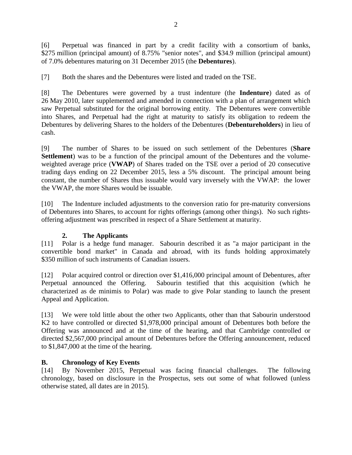[6] Perpetual was financed in part by a credit facility with a consortium of banks, \$275 million (principal amount) of 8.75% "senior notes", and \$34.9 million (principal amount) of 7.0% debentures maturing on 31 December 2015 (the **Debentures**).

[7] Both the shares and the Debentures were listed and traded on the TSE.

[8] The Debentures were governed by a trust indenture (the **Indenture**) dated as of 26 May 2010, later supplemented and amended in connection with a plan of arrangement which saw Perpetual substituted for the original borrowing entity. The Debentures were convertible into Shares, and Perpetual had the right at maturity to satisfy its obligation to redeem the Debentures by delivering Shares to the holders of the Debentures (**Debentureholders**) in lieu of cash.

[9] The number of Shares to be issued on such settlement of the Debentures (**Share Settlement**) was to be a function of the principal amount of the Debentures and the volumeweighted average price (**VWAP**) of Shares traded on the TSE over a period of 20 consecutive trading days ending on 22 December 2015, less a 5% discount. The principal amount being constant, the number of Shares thus issuable would vary inversely with the VWAP: the lower the VWAP, the more Shares would be issuable.

[10] The Indenture included adjustments to the conversion ratio for pre-maturity conversions of Debentures into Shares, to account for rights offerings (among other things). No such rightsoffering adjustment was prescribed in respect of a Share Settlement at maturity.

# **2. The Applicants**

<span id="page-3-0"></span>[11] Polar is a hedge fund manager. Sabourin described it as "a major participant in the convertible bond market" in Canada and abroad, with its funds holding approximately \$350 million of such instruments of Canadian issuers.

[12] Polar acquired control or direction over \$1,416,000 principal amount of Debentures, after Perpetual announced the Offering. Sabourin testified that this acquisition (which he characterized as de minimis to Polar) was made to give Polar standing to launch the present Appeal and Application.

[13] We were told little about the other two Applicants, other than that Sabourin understood K2 to have controlled or directed \$1,978,000 principal amount of Debentures both before the Offering was announced and at the time of the hearing, and that Cambridge controlled or directed \$2,567,000 principal amount of Debentures before the Offering announcement, reduced to \$1,847,000 at the time of the hearing.

# <span id="page-3-1"></span>**B. Chronology of Key Events**

[14] By November 2015, Perpetual was facing financial challenges. The following chronology, based on disclosure in the Prospectus, sets out some of what followed (unless otherwise stated, all dates are in 2015).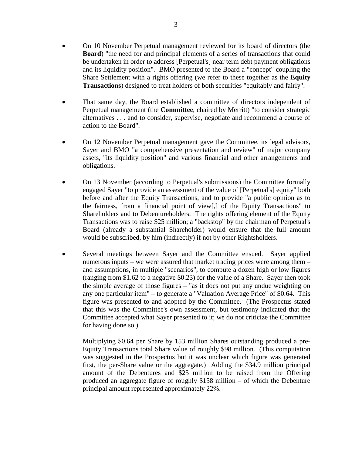- On 10 November Perpetual management reviewed for its board of directors (the **Board**) "the need for and principal elements of a series of transactions that could be undertaken in order to address [Perpetual's] near term debt payment obligations and its liquidity position". BMO presented to the Board a "concept" coupling the Share Settlement with a rights offering (we refer to these together as the **Equity Transactions**) designed to treat holders of both securities "equitably and fairly".
- That same day, the Board established a committee of directors independent of Perpetual management (the **Committee**, chaired by Merritt) "to consider strategic alternatives . . . and to consider, supervise, negotiate and recommend a course of action to the Board".
- On 12 November Perpetual management gave the Committee, its legal advisors, Sayer and BMO "a comprehensive presentation and review" of major company assets, "its liquidity position" and various financial and other arrangements and obligations.
- On 13 November (according to Perpetual's submissions) the Committee formally engaged Sayer "to provide an assessment of the value of [Perpetual's] equity" both before and after the Equity Transactions, and to provide "a public opinion as to the fairness, from a financial point of view[,] of the Equity Transactions" to Shareholders and to Debentureholders. The rights offering element of the Equity Transactions was to raise \$25 million; a "backstop" by the chairman of Perpetual's Board (already a substantial Shareholder) would ensure that the full amount would be subscribed, by him (indirectly) if not by other Rightsholders.
- Several meetings between Sayer and the Committee ensued. Sayer applied numerous inputs – we were assured that market trading prices were among them – and assumptions, in multiple "scenarios", to compute a dozen high or low figures (ranging from \$1.62 to a negative \$0.23) for the value of a Share. Sayer then took the simple average of those figures – "as it does not put any undue weighting on any one particular item" – to generate a "Valuation Average Price" of \$0.64. This figure was presented to and adopted by the Committee. (The Prospectus stated that this was the Committee's own assessment, but testimony indicated that the Committee accepted what Sayer presented to it; we do not criticize the Committee for having done so.)

Multiplying \$0.64 per Share by 153 million Shares outstanding produced a pre-Equity Transactions total Share value of roughly \$98 million. (This computation was suggested in the Prospectus but it was unclear which figure was generated first, the per-Share value or the aggregate.) Adding the \$34.9 million principal amount of the Debentures and \$25 million to be raised from the Offering produced an aggregate figure of roughly \$158 million – of which the Debenture principal amount represented approximately 22%.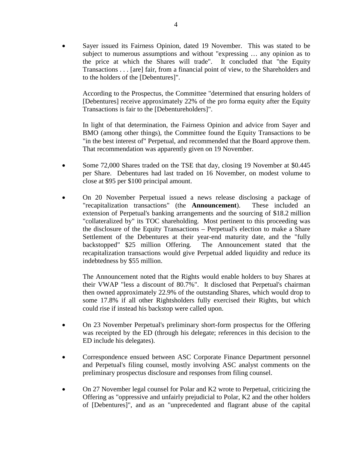Sayer issued its Fairness Opinion, dated 19 November. This was stated to be subject to numerous assumptions and without "expressing … any opinion as to the price at which the Shares will trade". It concluded that "the Equity Transactions . . . [are] fair, from a financial point of view, to the Shareholders and to the holders of the [Debentures]".

According to the Prospectus, the Committee "determined that ensuring holders of [Debentures] receive approximately 22% of the pro forma equity after the Equity Transactions is fair to the [Debentureholders]".

In light of that determination, the Fairness Opinion and advice from Sayer and BMO (among other things), the Committee found the Equity Transactions to be "in the best interest of" Perpetual, and recommended that the Board approve them. That recommendation was apparently given on 19 November.

- Some 72,000 Shares traded on the TSE that day, closing 19 November at \$0.445 per Share. Debentures had last traded on 16 November, on modest volume to close at \$95 per \$100 principal amount.
- On 20 November Perpetual issued a news release disclosing a package of "recapitalization transactions" (the **Announcement**). These included an extension of Perpetual's banking arrangements and the sourcing of \$18.2 million "collateralized by" its TOC shareholding. Most pertinent to this proceeding was the disclosure of the Equity Transactions – Perpetual's election to make a Share Settlement of the Debentures at their year-end maturity date, and the "fully backstopped" \$25 million Offering. The Announcement stated that the recapitalization transactions would give Perpetual added liquidity and reduce its indebtedness by \$55 million.

The Announcement noted that the Rights would enable holders to buy Shares at their VWAP "less a discount of 80.7%". It disclosed that Perpetual's chairman then owned approximately 22.9% of the outstanding Shares, which would drop to some 17.8% if all other Rightsholders fully exercised their Rights, but which could rise if instead his backstop were called upon.

- On 23 November Perpetual's preliminary short-form prospectus for the Offering was receipted by the ED (through his delegate; references in this decision to the ED include his delegates).
- Correspondence ensued between ASC Corporate Finance Department personnel and Perpetual's filing counsel, mostly involving ASC analyst comments on the preliminary prospectus disclosure and responses from filing counsel.
- On 27 November legal counsel for Polar and K2 wrote to Perpetual, criticizing the Offering as "oppressive and unfairly prejudicial to Polar, K2 and the other holders of [Debentures]", and as an "unprecedented and flagrant abuse of the capital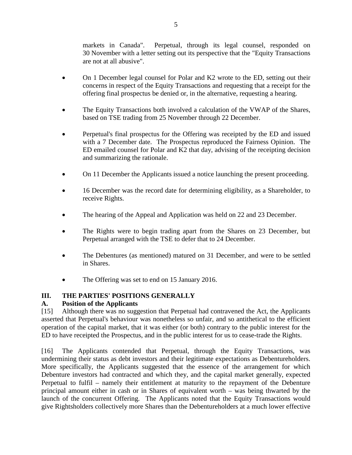markets in Canada". Perpetual, through its legal counsel, responded on 30 November with a letter setting out its perspective that the "Equity Transactions are not at all abusive".

- On 1 December legal counsel for Polar and K2 wrote to the ED, setting out their concerns in respect of the Equity Transactions and requesting that a receipt for the offering final prospectus be denied or, in the alternative, requesting a hearing.
- The Equity Transactions both involved a calculation of the VWAP of the Shares, based on TSE trading from 25 November through 22 December.
- Perpetual's final prospectus for the Offering was receipted by the ED and issued with a 7 December date. The Prospectus reproduced the Fairness Opinion. The ED emailed counsel for Polar and K2 that day, advising of the receipting decision and summarizing the rationale.
- On 11 December the Applicants issued a notice launching the present proceeding.
- 16 December was the record date for determining eligibility, as a Shareholder, to receive Rights.
- The hearing of the Appeal and Application was held on 22 and 23 December.
- The Rights were to begin trading apart from the Shares on 23 December, but Perpetual arranged with the TSE to defer that to 24 December.
- The Debentures (as mentioned) matured on 31 December, and were to be settled in Shares.
- The Offering was set to end on 15 January 2016.

# <span id="page-6-0"></span>**III. THE PARTIES' POSITIONS GENERALLY**

# <span id="page-6-1"></span>**A. Position of the Applicants**

[15] Although there was no suggestion that Perpetual had contravened the Act, the Applicants asserted that Perpetual's behaviour was nonetheless so unfair, and so antithetical to the efficient operation of the capital market, that it was either (or both) contrary to the public interest for the ED to have receipted the Prospectus, and in the public interest for us to cease-trade the Rights.

[16] The Applicants contended that Perpetual, through the Equity Transactions, was undermining their status as debt investors and their legitimate expectations as Debentureholders. More specifically, the Applicants suggested that the essence of the arrangement for which Debenture investors had contracted and which they, and the capital market generally, expected Perpetual to fulfil – namely their entitlement at maturity to the repayment of the Debenture principal amount either in cash or in Shares of equivalent worth – was being thwarted by the launch of the concurrent Offering. The Applicants noted that the Equity Transactions would give Rightsholders collectively more Shares than the Debentureholders at a much lower effective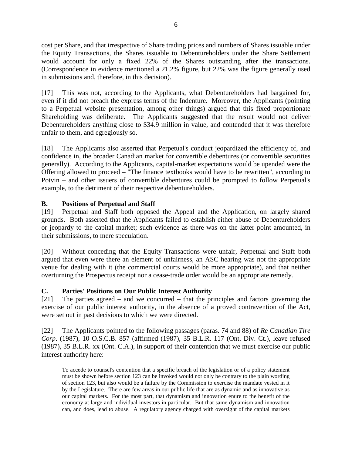cost per Share, and that irrespective of Share trading prices and numbers of Shares issuable under the Equity Transactions, the Shares issuable to Debentureholders under the Share Settlement would account for only a fixed 22% of the Shares outstanding after the transactions. (Correspondence in evidence mentioned a 21.2% figure, but 22% was the figure generally used in submissions and, therefore, in this decision).

[17] This was not, according to the Applicants, what Debentureholders had bargained for, even if it did not breach the express terms of the Indenture. Moreover, the Applicants (pointing to a Perpetual website presentation, among other things) argued that this fixed proportionate Shareholding was deliberate. The Applicants suggested that the result would not deliver Debentureholders anything close to \$34.9 million in value, and contended that it was therefore unfair to them, and egregiously so.

[18] The Applicants also asserted that Perpetual's conduct jeopardized the efficiency of, and confidence in, the broader Canadian market for convertible debentures (or convertible securities generally). According to the Applicants, capital-market expectations would be upended were the Offering allowed to proceed – "The finance textbooks would have to be rewritten", according to Potvin – and other issuers of convertible debentures could be prompted to follow Perpetual's example, to the detriment of their respective debentureholders.

# <span id="page-7-0"></span>**B. Positions of Perpetual and Staff**

[19] Perpetual and Staff both opposed the Appeal and the Application, on largely shared grounds. Both asserted that the Applicants failed to establish either abuse of Debentureholders or jeopardy to the capital market; such evidence as there was on the latter point amounted, in their submissions, to mere speculation.

[20] Without conceding that the Equity Transactions were unfair, Perpetual and Staff both argued that even were there an element of unfairness, an ASC hearing was not the appropriate venue for dealing with it (the commercial courts would be more appropriate), and that neither overturning the Prospectus receipt nor a cease-trade order would be an appropriate remedy.

# <span id="page-7-1"></span>**C. Parties' Positions on Our Public Interest Authority**

[21] The parties agreed – and we concurred – that the principles and factors governing the exercise of our public interest authority, in the absence of a proved contravention of the Act, were set out in past decisions to which we were directed.

[22] The Applicants pointed to the following passages (paras. 74 and 88) of *Re Canadian Tire Corp*. (1987), 10 O.S.C.B. 857 (affirmed (1987), 35 B.L.R. 117 (Ont. Div. Ct.), leave refused (1987), 35 B.L.R. xx (Ont. C.A.), in support of their contention that we must exercise our public interest authority here:

To accede to counsel's contention that a specific breach of the legislation or of a policy statement must be shown before section 123 can be invoked would not only be contrary to the plain wording of section 123, but also would be a failure by the Commission to exercise the mandate vested in it by the Legislature. There are few areas in our public life that are as dynamic and as innovative as our capital markets. For the most part, that dynamism and innovation enure to the benefit of the economy at large and individual investors in particular. But that same dynamism and innovation can, and does, lead to abuse. A regulatory agency charged with oversight of the capital markets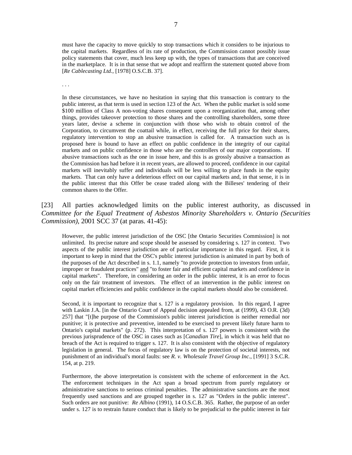must have the capacity to move quickly to stop transactions which it considers to be injurious to the capital markets. Regardless of its rate of production, the Commission cannot possibly issue policy statements that cover, much less keep up with, the types of transactions that are conceived in the marketplace. It is in that sense that we adopt and reaffirm the statement quoted above from [*Re Cablecasting Ltd.*, [1978] O.S.C.B. 37].

. . .

In these circumstances, we have no hesitation in saying that this transaction is contrary to the public interest, as that term is used in section 123 of the Act. When the public market is sold some \$100 million of Class A non-voting shares consequent upon a reorganization that, among other things, provides takeover protection to those shares and the controlling shareholders, some three years later, devise a scheme in conjunction with those who wish to obtain control of the Corporation, to circumvent the coattail while, in effect, receiving the full price for their shares, regulatory intervention to stop an abusive transaction is called for. A transaction such as is proposed here is bound to have an effect on public confidence in the integrity of our capital markets and on public confidence in those who are the controllers of our major corporations. If abusive transactions such as the one in issue here, and this is as grossly abusive a transaction as the Commission has had before it in recent years, are allowed to proceed, confidence in our capital markets will inevitably suffer and individuals will be less willing to place funds in the equity markets. That can only have a deleterious effect on our capital markets and, in that sense, it is in the public interest that this Offer be cease traded along with the Billeses' tendering of their common shares to the Offer.

#### [23] All parties acknowledged limits on the public interest authority, as discussed in *Committee for the Equal Treatment of Asbestos Minority Shareholders v. Ontario (Securities Commission)*, 2001 SCC 37 (at paras. 41-45):

However, the public interest jurisdiction of the OSC [the Ontario Securities Commission] is not unlimited. Its precise nature and scope should be assessed by considering s. 127 in context. Two aspects of the public interest jurisdiction are of particular importance in this regard. First, it is important to keep in mind that the OSC's public interest jurisdiction is animated in part by both of the purposes of the Act described in s. 1.1, namely "to provide protection to investors from unfair, improper or fraudulent practices" and "to foster fair and efficient capital markets and confidence in capital markets". Therefore, in considering an order in the public interest, it is an error to focus only on the fair treatment of investors. The effect of an intervention in the public interest on capital market efficiencies and public confidence in the capital markets should also be considered.

Second, it is important to recognize that s. 127 is a regulatory provision. In this regard, I agree with Laskin J.A. [in the Ontario Court of Appeal decision appealed from, at (1999), 43 O.R. (3d) 257] that "[t]he purpose of the Commission's public interest jurisdiction is neither remedial nor punitive; it is protective and preventive, intended to be exercised to prevent likely future harm to Ontario's capital markets" (p. 272). This interpretation of s. 127 powers is consistent with the previous jurisprudence of the OSC in cases such as [*Canadian Tire*], in which it was held that no breach of the Act is required to trigger s. 127. It is also consistent with the objective of regulatory legislation in general. The focus of regulatory law is on the protection of societal interests, not punishment of an individual's moral faults: see *R. v. Wholesale Travel Group Inc*., [1991] 3 S.C.R. 154, at p. 219.

Furthermore, the above interpretation is consistent with the scheme of enforcement in the Act. The enforcement techniques in the Act span a broad spectrum from purely regulatory or administrative sanctions to serious criminal penalties. The administrative sanctions are the most frequently used sanctions and are grouped together in s. 127 as "Orders in the public interest". Such orders are not punitive: *Re Albino* (1991), 14 O.S.C.B. 365. Rather, the purpose of an order under s. 127 is to restrain future conduct that is likely to be prejudicial to the public interest in fair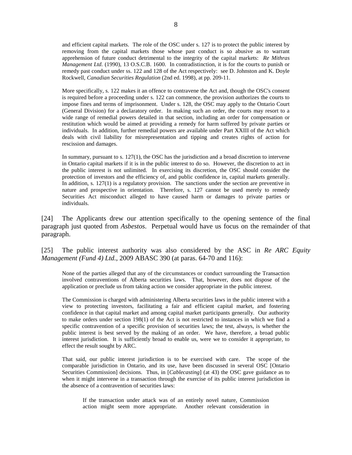and efficient capital markets. The role of the OSC under s. 127 is to protect the public interest by removing from the capital markets those whose past conduct is so abusive as to warrant apprehension of future conduct detrimental to the integrity of the capital markets: *Re Mithras Management Ltd.* (1990), 13 O.S.C.B. 1600. In contradistinction, it is for the courts to punish or remedy past conduct under ss. 122 and 128 of the Act respectively: see D. Johnston and K. Doyle Rockwell, *Canadian Securities Regulation* (2nd ed. 1998), at pp. 209-11.

More specifically, s. 122 makes it an offence to contravene the Act and, though the OSC's consent is required before a proceeding under s. 122 can commence, the provision authorizes the courts to impose fines and terms of imprisonment. Under s. 128, the OSC may apply to the Ontario Court (General Division) for a declaratory order. In making such an order, the courts may resort to a wide range of remedial powers detailed in that section, including an order for compensation or restitution which would be aimed at providing a remedy for harm suffered by private parties or individuals. In addition, further remedial powers are available under Part XXIII of the Act which deals with civil liability for misrepresentation and tipping and creates rights of action for rescission and damages.

In summary, pursuant to s.  $127(1)$ , the OSC has the jurisdiction and a broad discretion to intervene in Ontario capital markets if it is in the public interest to do so. However, the discretion to act in the public interest is not unlimited. In exercising its discretion, the OSC should consider the protection of investors and the efficiency of, and public confidence in, capital markets generally. In addition, s. 127(1) is a regulatory provision. The sanctions under the section are preventive in nature and prospective in orientation. Therefore, s. 127 cannot be used merely to remedy Securities Act misconduct alleged to have caused harm or damages to private parties or individuals.

[24] The Applicants drew our attention specifically to the opening sentence of the final paragraph just quoted from *Asbestos*. Perpetual would have us focus on the remainder of that paragraph.

[25] The public interest authority was also considered by the ASC in *Re ARC Equity Management (Fund 4) Ltd.*, 2009 ABASC 390 (at paras. 64-70 and 116):

None of the parties alleged that any of the circumstances or conduct surrounding the Transaction involved contraventions of Alberta securities laws. That, however, does not dispose of the application or preclude us from taking action we consider appropriate in the public interest.

The Commission is charged with administering Alberta securities laws in the public interest with a view to protecting investors, facilitating a fair and efficient capital market, and fostering confidence in that capital market and among capital market participants generally. Our authority to make orders under section 198(1) of the Act is not restricted to instances in which we find a specific contravention of a specific provision of securities laws; the test, always, is whether the public interest is best served by the making of an order. We have, therefore, a broad public interest jurisdiction. It is sufficiently broad to enable us, were we to consider it appropriate, to effect the result sought by ARC.

That said, our public interest jurisdiction is to be exercised with care. The scope of the comparable jurisdiction in Ontario, and its use, have been discussed in several OSC [Ontario Securities Commission] decisions. Thus, in [*Cablecasting*] (at 43) the OSC gave guidance as to when it might intervene in a transaction through the exercise of its public interest jurisdiction in the absence of a contravention of securities laws:

If the transaction under attack was of an entirely novel nature, Commission action might seem more appropriate. Another relevant consideration in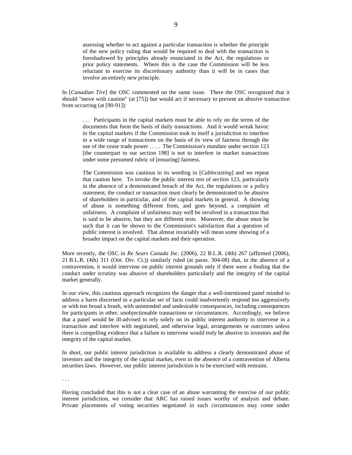assessing whether to act against a particular transaction is whether the principle of the new policy ruling that would be required to deal with the transaction is foreshadowed by principles already enunciated in the Act, the regulations or prior policy statements. Where this is the case the Commission will be less reluctant to exercise its discretionary authority than it will be in cases that involve an entirely new principle.

In [*Canadian Tire*] the OSC commented on the same issue. There the OSC recognized that it should "move with caution" (at [75]) but would act if necessary to prevent an abusive transaction from occurring (at [90-91]):

. . . Participants in the capital markets must be able to rely on the terms of the documents that form the basis of daily transactions. And it would wreak havoc in the capital markets if the Commission took to itself a jurisdiction to interfere in a wide range of transactions on the basis of its view of fairness through the use of the cease trade power . . . . The Commission's mandate under section 123 [the counterpart to our section 198] is not to interfere in market transactions under some presumed rubric of [ensuring] fairness.

The Commission was cautious in its wording in [*Cablecasting*] and we repeat that caution here. To invoke the public interest test of section 123, particularly in the absence of a demonstrated breach of the Act, the regulations or a policy statement, the conduct or transaction must clearly be demonstrated to be abusive of shareholders in particular, and of the capital markets in general. A showing of abuse is something different from, and goes beyond, a complaint of unfairness. A complaint of unfairness may well be involved in a transaction that is said to be abusive, but they are different tests. Moreover, the abuse must be such that it can be shown to the Commission's satisfaction that a question of public interest is involved. That almost invariably will mean some showing of a broader impact on the capital markets and their operation.

More recently, the OSC in *Re Sears Canada Inc.* (2006), 22 B.L.R. (4th) 267 (affirmed (2006), 21 B.L.R. (4th) 311 (Ont. Div. Ct.)) similarly ruled (at paras. 304-08) that, in the absence of a contravention, it would intervene on public interest grounds only if there were a finding that the conduct under scrutiny was abusive of shareholders particularly and the integrity of the capital market generally.

In our view, this cautious approach recognizes the danger that a well-intentioned panel minded to address a harm discerned in a particular set of facts could inadvertently respond too aggressively or with too broad a brush, with unintended and undesirable consequences, including consequences for participants in other, unobjectionable transactions or circumstances. Accordingly, we believe that a panel would be ill-advised to rely solely on its public interest authority to intervene in a transaction and interfere with negotiated, and otherwise legal, arrangements or outcomes unless there is compelling evidence that a failure to intervene would truly be abusive to investors and the integrity of the capital market.

In short, our public interest jurisdiction is available to address a clearly demonstrated abuse of investors and the integrity of the capital market, even in the absence of a contravention of Alberta securities laws. However, our public interest jurisdiction is to be exercised with restraint.

. . .

Having concluded that this is not a clear case of an abuse warranting the exercise of our public interest jurisdiction, we consider that ARC has raised issues worthy of analysis and debate. Private placements of voting securities negotiated in such circumstances may come under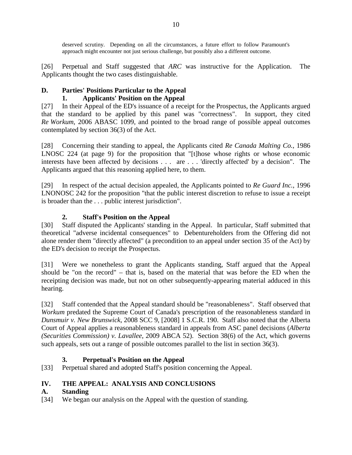deserved scrutiny. Depending on all the circumstances, a future effort to follow Paramount's approach might encounter not just serious challenge, but possibly also a different outcome.

[26] Perpetual and Staff suggested that *ARC* was instructive for the Application. The Applicants thought the two cases distinguishable.

# <span id="page-11-1"></span><span id="page-11-0"></span>**D. Parties' Positions Particular to the Appeal 1. Applicants' Position on the Appeal**

[27] In their Appeal of the ED's issuance of a receipt for the Prospectus, the Applicants argued that the standard to be applied by this panel was "correctness". In support, they cited *Re Workum*, 2006 ABASC 1099, and pointed to the broad range of possible appeal outcomes contemplated by section 36(3) of the Act.

[28] Concerning their standing to appeal, the Applicants cited *Re Canada Malting Co.*, 1986 LNOSC 224 (at page 9) for the proposition that "[t]hose whose rights or whose economic interests have been affected by decisions . . . are . . . 'directly affected' by a decision". The Applicants argued that this reasoning applied here, to them.

[29] In respect of the actual decision appealed, the Applicants pointed to *Re Guard Inc.*, 1996 LNONOSC 242 for the proposition "that the public interest discretion to refuse to issue a receipt is broader than the . . . public interest jurisdiction".

# **2. Staff's Position on the Appeal**

<span id="page-11-2"></span>[30] Staff disputed the Applicants' standing in the Appeal. In particular, Staff submitted that theoretical "adverse incidental consequences" to Debentureholders from the Offering did not alone render them "directly affected" (a precondition to an appeal under section 35 of the Act) by the ED's decision to receipt the Prospectus.

[31] Were we nonetheless to grant the Applicants standing, Staff argued that the Appeal should be "on the record" – that is, based on the material that was before the ED when the receipting decision was made, but not on other subsequently-appearing material adduced in this hearing.

[32] Staff contended that the Appeal standard should be "reasonableness". Staff observed that *Workum* predated the Supreme Court of Canada's prescription of the reasonableness standard in *Dunsmuir v. New Brunswick*, 2008 SCC 9, [2008] 1 S.C.R. 190. Staff also noted that the Alberta Court of Appeal applies a reasonableness standard in appeals from ASC panel decisions (*Alberta (Securities Commission) v. Lavallee*, 2009 ABCA 52). Section 38(6) of the Act, which governs such appeals, sets out a range of possible outcomes parallel to the list in section 36(3).

# **3. Perpetual's Position on the Appeal**

<span id="page-11-3"></span>[33] Perpetual shared and adopted Staff's position concerning the Appeal.

# <span id="page-11-4"></span>**IV. THE APPEAL: ANALYSIS AND CONCLUSIONS**

# <span id="page-11-5"></span>**A. Standing**

[34] We began our analysis on the Appeal with the question of standing.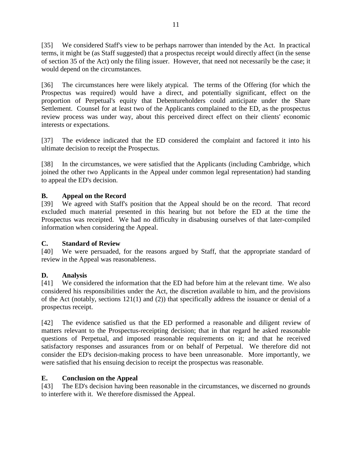[35] We considered Staff's view to be perhaps narrower than intended by the Act. In practical terms, it might be (as Staff suggested) that a prospectus receipt would directly affect (in the sense of section 35 of the Act) only the filing issuer. However, that need not necessarily be the case; it would depend on the circumstances.

[36] The circumstances here were likely atypical. The terms of the Offering (for which the Prospectus was required) would have a direct, and potentially significant, effect on the proportion of Perpetual's equity that Debentureholders could anticipate under the Share Settlement. Counsel for at least two of the Applicants complained to the ED, as the prospectus review process was under way, about this perceived direct effect on their clients' economic interests or expectations.

[37] The evidence indicated that the ED considered the complaint and factored it into his ultimate decision to receipt the Prospectus.

[38] In the circumstances, we were satisfied that the Applicants (including Cambridge, which joined the other two Applicants in the Appeal under common legal representation) had standing to appeal the ED's decision.

# <span id="page-12-0"></span>**B. Appeal on the Record**

[39] We agreed with Staff's position that the Appeal should be on the record. That record excluded much material presented in this hearing but not before the ED at the time the Prospectus was receipted. We had no difficulty in disabusing ourselves of that later-compiled information when considering the Appeal.

# <span id="page-12-1"></span>**C. Standard of Review**

[40] We were persuaded, for the reasons argued by Staff, that the appropriate standard of review in the Appeal was reasonableness.

# <span id="page-12-2"></span>**D. Analysis**

[41] We considered the information that the ED had before him at the relevant time. We also considered his responsibilities under the Act, the discretion available to him, and the provisions of the Act (notably, sections 121(1) and (2)) that specifically address the issuance or denial of a prospectus receipt.

[42] The evidence satisfied us that the ED performed a reasonable and diligent review of matters relevant to the Prospectus-receipting decision; that in that regard he asked reasonable questions of Perpetual, and imposed reasonable requirements on it; and that he received satisfactory responses and assurances from or on behalf of Perpetual. We therefore did not consider the ED's decision-making process to have been unreasonable. More importantly, we were satisfied that his ensuing decision to receipt the prospectus was reasonable.

# <span id="page-12-3"></span>**E. Conclusion on the Appeal**

[43] The ED's decision having been reasonable in the circumstances, we discerned no grounds to interfere with it. We therefore dismissed the Appeal.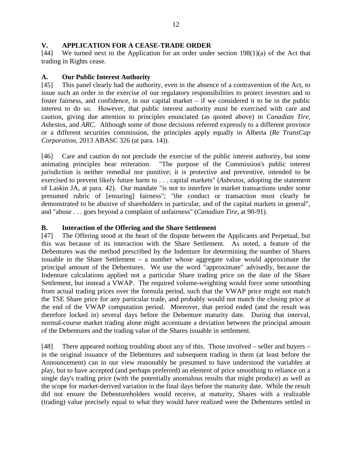#### <span id="page-13-0"></span>**V. APPLICATION FOR A CEASE-TRADE ORDER**

[44] We turned next to the Application for an order under section 198(1)(a) of the Act that trading in Rights cease.

#### <span id="page-13-1"></span>**A. Our Public Interest Authority**

[45] This panel clearly had the authority, even in the absence of a contravention of the Act, to issue such an order in the exercise of our regulatory responsibilities to protect investors and to foster fairness, and confidence, in our capital market – if we considered it to be in the public interest to do so. However, that public interest authority must be exercised with care and caution, giving due attention to principles enunciated (as quoted above) in *Canadian Tire*, *Asbestos*, and *ARC*. Although some of those decisions referred expressly to a different province or a different securities commission, the principles apply equally in Alberta (*Re TransCap Corporation*, 2013 ABASC 326 (at para. 14)).

[46] Care and caution do not preclude the exercise of the public interest authority, but some animating principles bear reiteration. "The purpose of the Commission's public interest jurisdiction is neither remedial nor punitive; it is protective and preventive, intended to be exercised to prevent likely future harm to . . . capital markets" (*Asbestos*, adopting the statement of Laskin JA, at para. 42). Our mandate "is not to interfere in market transactions under some presumed rubric of [ensuring] fairness"; "the conduct or transaction must clearly be demonstrated to be abusive of shareholders in particular, and of the capital markets in general", and "abuse . . . goes beyond a complaint of unfairness" (*Canadian Tire*, at 90-91).

#### <span id="page-13-2"></span>**B. Interaction of the Offering and the Share Settlement**

[47] The Offering stood at the heart of the dispute between the Applicants and Perpetual, but this was because of its interaction with the Share Settlement. As noted, a feature of the Debentures was the method prescribed by the Indenture for determining the number of Shares issuable in the Share Settlement – a number whose aggregate value would approximate the principal amount of the Debentures. We use the word "approximate" advisedly, because the Indenture calculations applied not a particular Share trading price on the date of the Share Settlement, but instead a VWAP. The required volume-weighting would force some smoothing from actual trading prices over the formula period, such that the VWAP price might not match the TSE Share price for any particular trade, and probably would not match the closing price at the end of the VWAP computation period. Moreover, that period ended (and the result was therefore locked in) several days before the Debenture maturity date. During that interval, normal-course market trading alone might accentuate a deviation between the principal amount of the Debentures and the trading value of the Shares issuable in settlement.

[48] There appeared nothing troubling about any of this. Those involved – seller and buyers – in the original issuance of the Debentures and subsequent trading in them (at least before the Announcement) can in our view reasonably be presumed to have understood the variables at play, but to have accepted (and perhaps preferred) an element of price smoothing to reliance on a single day's trading price (with the potentially anomalous results that might produce) as well as the scope for market-derived variation in the final days before the maturity date. While the result did not ensure the Debentureholders would receive, at maturity, Shares with a realizable (trading) value precisely equal to what they would have realized were the Debentures settled in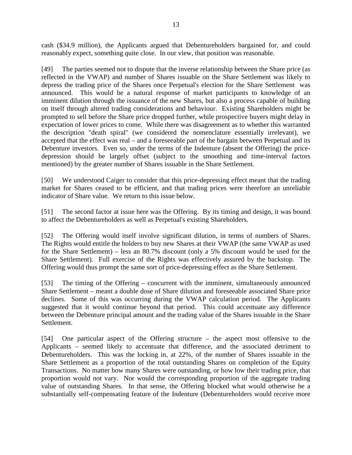cash (\$34.9 million), the Applicants argued that Debentureholders bargained for, and could reasonably expect, something quite close. In our view, that position was reasonable.

[49] The parties seemed not to dispute that the inverse relationship between the Share price (as reflected in the VWAP) and number of Shares issuable on the Share Settlement was likely to depress the trading price of the Shares once Perpetual's election for the Share Settlement was announced. This would be a natural response of market participants to knowledge of an imminent dilution through the issuance of the new Shares, but also a process capable of building on itself through altered trading considerations and behaviour. Existing Shareholders might be prompted to sell before the Share price dropped further, while prospective buyers might delay in expectation of lower prices to come. While there was disagreement as to whether this warranted the description "death spiral" (we considered the nomenclature essentially irrelevant), we accepted that the effect was real – and a foreseeable part of the bargain between Perpetual and its Debenture investors. Even so, under the terms of the Indenture (absent the Offering) the pricedepression should be largely offset (subject to the smoothing and time-interval factors mentioned) by the greater number of Shares issuable in the Share Settlement.

[50] We understood Caiger to consider that this price-depressing effect meant that the trading market for Shares ceased to be efficient, and that trading prices were therefore an unreliable indicator of Share value. We return to this issue below.

[51] The second factor at issue here was the Offering. By its timing and design, it was bound to affect the Debentureholders as well as Perpetual's existing Shareholders.

[52] The Offering would itself involve significant dilution, in terms of numbers of Shares. The Rights would entitle the holders to buy new Shares at their VWAP (the same VWAP as used for the Share Settlement) – less an 80.7% discount (only a 5% discount would be used for the Share Settlement). Full exercise of the Rights was effectively assured by the backstop. The Offering would thus prompt the same sort of price-depressing effect as the Share Settlement.

[53] The timing of the Offering – concurrent with the imminent, simultaneously announced Share Settlement – meant a double dose of Share dilution and foreseeable associated Share price declines. Some of this was occurring during the VWAP calculation period. The Applicants suggested that it would continue beyond that period. This could accentuate any difference between the Debenture principal amount and the trading value of the Shares issuable in the Share Settlement.

[54] One particular aspect of the Offering structure – the aspect most offensive to the Applicants – seemed likely to accentuate that difference, and the associated detriment to Debentureholders. This was the locking in, at 22%, of the number of Shares issuable in the Share Settlement as a proportion of the total outstanding Shares on completion of the Equity Transactions. No matter how many Shares were outstanding, or how low their trading price, that proportion would not vary. Nor would the corresponding proportion of the aggregate trading value of outstanding Shares. In that sense, the Offering blocked what would otherwise be a substantially self-compensating feature of the Indenture (Debentureholders would receive more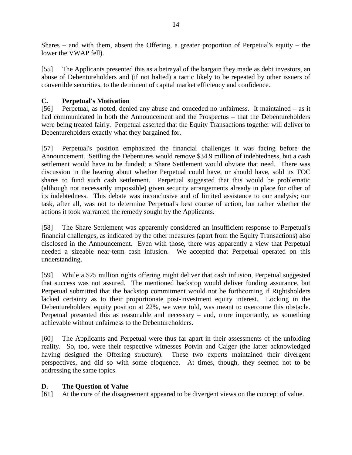Shares – and with them, absent the Offering, a greater proportion of Perpetual's equity – the lower the VWAP fell).

[55] The Applicants presented this as a betrayal of the bargain they made as debt investors, an abuse of Debentureholders and (if not halted) a tactic likely to be repeated by other issuers of convertible securities, to the detriment of capital market efficiency and confidence.

# <span id="page-15-0"></span>**C. Perpetual's Motivation**

[56] Perpetual, as noted, denied any abuse and conceded no unfairness. It maintained – as it had communicated in both the Announcement and the Prospectus – that the Debentureholders were being treated fairly. Perpetual asserted that the Equity Transactions together will deliver to Debentureholders exactly what they bargained for.

[57] Perpetual's position emphasized the financial challenges it was facing before the Announcement. Settling the Debentures would remove \$34.9 million of indebtedness, but a cash settlement would have to be funded; a Share Settlement would obviate that need. There was discussion in the hearing about whether Perpetual could have, or should have, sold its TOC shares to fund such cash settlement. Perpetual suggested that this would be problematic (although not necessarily impossible) given security arrangements already in place for other of its indebtedness. This debate was inconclusive and of limited assistance to our analysis; our task, after all, was not to determine Perpetual's best course of action, but rather whether the actions it took warranted the remedy sought by the Applicants.

[58] The Share Settlement was apparently considered an insufficient response to Perpetual's financial challenges, as indicated by the other measures (apart from the Equity Transactions) also disclosed in the Announcement. Even with those, there was apparently a view that Perpetual needed a sizeable near-term cash infusion. We accepted that Perpetual operated on this understanding.

[59] While a \$25 million rights offering might deliver that cash infusion, Perpetual suggested that success was not assured. The mentioned backstop would deliver funding assurance, but Perpetual submitted that the backstop commitment would not be forthcoming if Rightsholders lacked certainty as to their proportionate post-investment equity interest. Locking in the Debentureholders' equity position at 22%, we were told, was meant to overcome this obstacle. Perpetual presented this as reasonable and necessary – and, more importantly, as something achievable without unfairness to the Debentureholders.

[60] The Applicants and Perpetual were thus far apart in their assessments of the unfolding reality. So, too, were their respective witnesses Potvin and Caiger (the latter acknowledged having designed the Offering structure). These two experts maintained their divergent perspectives, and did so with some eloquence. At times, though, they seemed not to be addressing the same topics.

# <span id="page-15-1"></span>**D. The Question of Value**

[61] At the core of the disagreement appeared to be divergent views on the concept of value.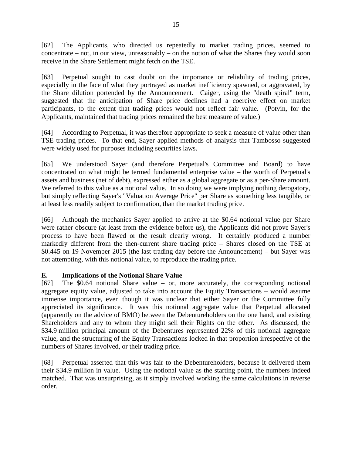[62] The Applicants, who directed us repeatedly to market trading prices, seemed to concentrate – not, in our view, unreasonably – on the notion of what the Shares they would soon receive in the Share Settlement might fetch on the TSE.

[63] Perpetual sought to cast doubt on the importance or reliability of trading prices, especially in the face of what they portrayed as market inefficiency spawned, or aggravated, by the Share dilution portended by the Announcement. Caiger, using the "death spiral" term, suggested that the anticipation of Share price declines had a coercive effect on market participants, to the extent that trading prices would not reflect fair value. (Potvin, for the Applicants, maintained that trading prices remained the best measure of value.)

[64] According to Perpetual, it was therefore appropriate to seek a measure of value other than TSE trading prices. To that end, Sayer applied methods of analysis that Tambosso suggested were widely used for purposes including securities laws.

[65] We understood Sayer (and therefore Perpetual's Committee and Board) to have concentrated on what might be termed fundamental enterprise value – the worth of Perpetual's assets and business (net of debt), expressed either as a global aggregate or as a per-Share amount. We referred to this value as a notional value. In so doing we were implying nothing derogatory, but simply reflecting Sayer's "Valuation Average Price" per Share as something less tangible, or at least less readily subject to confirmation, than the market trading price.

[66] Although the mechanics Sayer applied to arrive at the \$0.64 notional value per Share were rather obscure (at least from the evidence before us), the Applicants did not prove Sayer's process to have been flawed or the result clearly wrong. It certainly produced a number markedly different from the then-current share trading price – Shares closed on the TSE at \$0.445 on 19 November 2015 (the last trading day before the Announcement) – but Sayer was not attempting, with this notional value, to reproduce the trading price.

# <span id="page-16-0"></span>**E. Implications of the Notional Share Value**

[67] The \$0.64 notional Share value – or, more accurately, the corresponding notional aggregate equity value, adjusted to take into account the Equity Transactions – would assume immense importance, even though it was unclear that either Sayer or the Committee fully appreciated its significance. It was this notional aggregate value that Perpetual allocated (apparently on the advice of BMO) between the Debentureholders on the one hand, and existing Shareholders and any to whom they might sell their Rights on the other. As discussed, the \$34.9 million principal amount of the Debentures represented 22% of this notional aggregate value, and the structuring of the Equity Transactions locked in that proportion irrespective of the numbers of Shares involved, or their trading price.

[68] Perpetual asserted that this was fair to the Debentureholders, because it delivered them their \$34.9 million in value. Using the notional value as the starting point, the numbers indeed matched. That was unsurprising, as it simply involved working the same calculations in reverse order.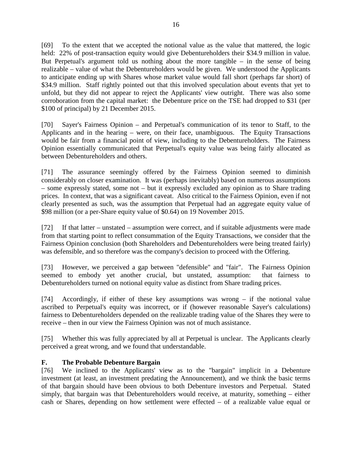[69] To the extent that we accepted the notional value as the value that mattered, the logic held: 22% of post-transaction equity would give Debentureholders their \$34.9 million in value. But Perpetual's argument told us nothing about the more tangible – in the sense of being realizable – value of what the Debentureholders would be given. We understood the Applicants to anticipate ending up with Shares whose market value would fall short (perhaps far short) of \$34.9 million. Staff rightly pointed out that this involved speculation about events that yet to unfold, but they did not appear to reject the Applicants' view outright. There was also some corroboration from the capital market: the Debenture price on the TSE had dropped to \$31 (per \$100 of principal) by 21 December 2015.

[70] Sayer's Fairness Opinion – and Perpetual's communication of its tenor to Staff, to the Applicants and in the hearing – were, on their face, unambiguous. The Equity Transactions would be fair from a financial point of view, including to the Debentureholders. The Fairness Opinion essentially communicated that Perpetual's equity value was being fairly allocated as between Debentureholders and others.

[71] The assurance seemingly offered by the Fairness Opinion seemed to diminish considerably on closer examination. It was (perhaps inevitably) based on numerous assumptions – some expressly stated, some not – but it expressly excluded any opinion as to Share trading prices. In context, that was a significant caveat. Also critical to the Fairness Opinion, even if not clearly presented as such, was the assumption that Perpetual had an aggregate equity value of \$98 million (or a per-Share equity value of \$0.64) on 19 November 2015.

[72] If that latter – unstated – assumption were correct, and if suitable adjustments were made from that starting point to reflect consummation of the Equity Transactions, we consider that the Fairness Opinion conclusion (both Shareholders and Debentureholders were being treated fairly) was defensible, and so therefore was the company's decision to proceed with the Offering.

[73] However, we perceived a gap between "defensible" and "fair". The Fairness Opinion seemed to embody yet another crucial, but unstated, assumption: that fairness to Debentureholders turned on notional equity value as distinct from Share trading prices.

[74] Accordingly, if either of these key assumptions was wrong – if the notional value ascribed to Perpetual's equity was incorrect, or if (however reasonable Sayer's calculations) fairness to Debentureholders depended on the realizable trading value of the Shares they were to receive – then in our view the Fairness Opinion was not of much assistance.

[75] Whether this was fully appreciated by all at Perpetual is unclear. The Applicants clearly perceived a great wrong, and we found that understandable.

# <span id="page-17-0"></span>**F. The Probable Debenture Bargain**

[76] We inclined to the Applicants' view as to the "bargain" implicit in a Debenture investment (at least, an investment predating the Announcement), and we think the basic terms of that bargain should have been obvious to both Debenture investors and Perpetual. Stated simply, that bargain was that Debentureholders would receive, at maturity, something – either cash or Shares, depending on how settlement were effected – of a realizable value equal or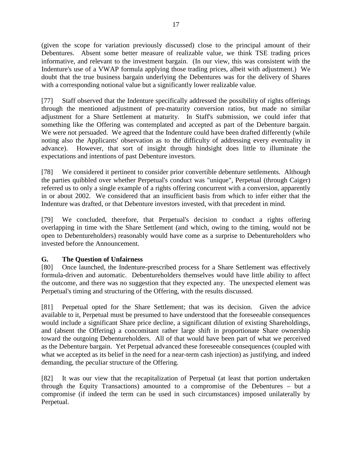(given the scope for variation previously discussed) close to the principal amount of their Debentures. Absent some better measure of realizable value, we think TSE trading prices informative, and relevant to the investment bargain. (In our view, this was consistent with the Indenture's use of a VWAP formula applying those trading prices, albeit with adjustment.) We doubt that the true business bargain underlying the Debentures was for the delivery of Shares with a corresponding notional value but a significantly lower realizable value.

[77] Staff observed that the Indenture specifically addressed the possibility of rights offerings through the mentioned adjustment of pre-maturity conversion ratios, but made no similar adjustment for a Share Settlement at maturity. In Staff's submission, we could infer that something like the Offering was contemplated and accepted as part of the Debenture bargain. We were not persuaded. We agreed that the Indenture could have been drafted differently (while noting also the Applicants' observation as to the difficulty of addressing every eventuality in advance). However, that sort of insight through hindsight does little to illuminate the expectations and intentions of past Debenture investors.

[78] We considered it pertinent to consider prior convertible debenture settlements. Although the parties quibbled over whether Perpetual's conduct was "unique", Perpetual (through Caiger) referred us to only a single example of a rights offering concurrent with a conversion, apparently in or about 2002. We considered that an insufficient basis from which to infer either that the Indenture was drafted, or that Debenture investors invested, with that precedent in mind.

[79] We concluded, therefore, that Perpetual's decision to conduct a rights offering overlapping in time with the Share Settlement (and which, owing to the timing, would not be open to Debentureholders) reasonably would have come as a surprise to Debentureholders who invested before the Announcement.

# <span id="page-18-0"></span>**G. The Question of Unfairness**

[80] Once launched, the Indenture-prescribed process for a Share Settlement was effectively formula-driven and automatic. Debentureholders themselves would have little ability to affect the outcome, and there was no suggestion that they expected any. The unexpected element was Perpetual's timing and structuring of the Offering, with the results discussed.

[81] Perpetual opted for the Share Settlement; that was its decision. Given the advice available to it, Perpetual must be presumed to have understood that the foreseeable consequences would include a significant Share price decline, a significant dilution of existing Shareholdings, and (absent the Offering) a concomitant rather large shift in proportionate Share ownership toward the outgoing Debentureholders. All of that would have been part of what we perceived as the Debenture bargain. Yet Perpetual advanced these foreseeable consequences (coupled with what we accepted as its belief in the need for a near-term cash injection) as justifying, and indeed demanding, the peculiar structure of the Offering.

[82] It was our view that the recapitalization of Perpetual (at least that portion undertaken through the Equity Transactions) amounted to a compromise of the Debentures – but a compromise (if indeed the term can be used in such circumstances) imposed unilaterally by Perpetual.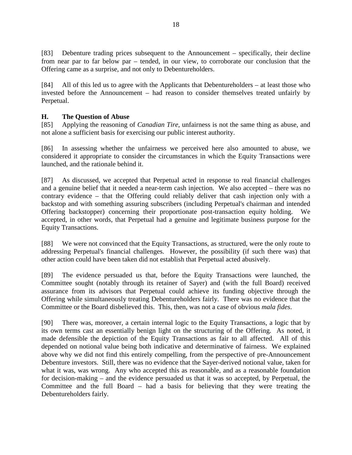[83] Debenture trading prices subsequent to the Announcement – specifically, their decline from near par to far below par – tended, in our view, to corroborate our conclusion that the Offering came as a surprise, and not only to Debentureholders.

[84] All of this led us to agree with the Applicants that Debentureholders – at least those who invested before the Announcement – had reason to consider themselves treated unfairly by Perpetual.

# <span id="page-19-0"></span>**H. The Question of Abuse**

[85] Applying the reasoning of *Canadian Tire*, unfairness is not the same thing as abuse, and not alone a sufficient basis for exercising our public interest authority.

[86] In assessing whether the unfairness we perceived here also amounted to abuse, we considered it appropriate to consider the circumstances in which the Equity Transactions were launched, and the rationale behind it.

[87] As discussed, we accepted that Perpetual acted in response to real financial challenges and a genuine belief that it needed a near-term cash injection. We also accepted – there was no contrary evidence – that the Offering could reliably deliver that cash injection only with a backstop and with something assuring subscribers (including Perpetual's chairman and intended Offering backstopper) concerning their proportionate post-transaction equity holding. We accepted, in other words, that Perpetual had a genuine and legitimate business purpose for the Equity Transactions.

[88] We were not convinced that the Equity Transactions, as structured, were the only route to addressing Perpetual's financial challenges. However, the possibility (if such there was) that other action could have been taken did not establish that Perpetual acted abusively.

[89] The evidence persuaded us that, before the Equity Transactions were launched, the Committee sought (notably through its retainer of Sayer) and (with the full Board) received assurance from its advisors that Perpetual could achieve its funding objective through the Offering while simultaneously treating Debentureholders fairly. There was no evidence that the Committee or the Board disbelieved this. This, then, was not a case of obvious *mala fides*.

[90] There was, moreover, a certain internal logic to the Equity Transactions, a logic that by its own terms cast an essentially benign light on the structuring of the Offering. As noted, it made defensible the depiction of the Equity Transactions as fair to all affected. All of this depended on notional value being both indicative and determinative of fairness. We explained above why we did not find this entirely compelling, from the perspective of pre-Announcement Debenture investors. Still, there was no evidence that the Sayer-derived notional value, taken for what it was, was wrong. Any who accepted this as reasonable, and as a reasonable foundation for decision-making – and the evidence persuaded us that it was so accepted, by Perpetual, the Committee and the full Board – had a basis for believing that they were treating the Debentureholders fairly.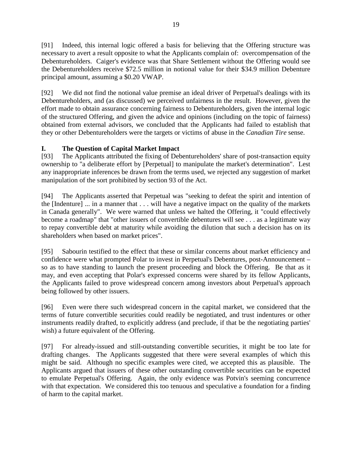[91] Indeed, this internal logic offered a basis for believing that the Offering structure was necessary to avert a result opposite to what the Applicants complain of: overcompensation of the Debentureholders. Caiger's evidence was that Share Settlement without the Offering would see the Debentureholders receive \$72.5 million in notional value for their \$34.9 million Debenture principal amount, assuming a \$0.20 VWAP.

[92] We did not find the notional value premise an ideal driver of Perpetual's dealings with its Debentureholders, and (as discussed) we perceived unfairness in the result. However, given the effort made to obtain assurance concerning fairness to Debentureholders, given the internal logic of the structured Offering, and given the advice and opinions (including on the topic of fairness) obtained from external advisors, we concluded that the Applicants had failed to establish that they or other Debentureholders were the targets or victims of abuse in the *Canadian Tire* sense.

# <span id="page-20-0"></span>**I. The Question of Capital Market Impact**

[93] The Applicants attributed the fixing of Debentureholders' share of post-transaction equity ownership to "a deliberate effort by [Perpetual] to manipulate the market's determination". Lest any inappropriate inferences be drawn from the terms used, we rejected any suggestion of market manipulation of the sort prohibited by section 93 of the Act.

[94] The Applicants asserted that Perpetual was "seeking to defeat the spirit and intention of the [Indenture] ... in a manner that . . . will have a negative impact on the quality of the markets in Canada generally". We were warned that unless we halted the Offering, it "could effectively become a roadmap" that "other issuers of convertible debentures will see . . . as a legitimate way to repay convertible debt at maturity while avoiding the dilution that such a decision has on its shareholders when based on market prices".

[95] Sabourin testified to the effect that these or similar concerns about market efficiency and confidence were what prompted Polar to invest in Perpetual's Debentures, post-Announcement – so as to have standing to launch the present proceeding and block the Offering. Be that as it may, and even accepting that Polar's expressed concerns were shared by its fellow Applicants, the Applicants failed to prove widespread concern among investors about Perpetual's approach being followed by other issuers.

[96] Even were there such widespread concern in the capital market, we considered that the terms of future convertible securities could readily be negotiated, and trust indentures or other instruments readily drafted, to explicitly address (and preclude, if that be the negotiating parties' wish) a future equivalent of the Offering.

[97] For already-issued and still-outstanding convertible securities, it might be too late for drafting changes. The Applicants suggested that there were several examples of which this might be said. Although no specific examples were cited, we accepted this as plausible. The Applicants argued that issuers of these other outstanding convertible securities can be expected to emulate Perpetual's Offering. Again, the only evidence was Potvin's seeming concurrence with that expectation. We considered this too tenuous and speculative a foundation for a finding of harm to the capital market.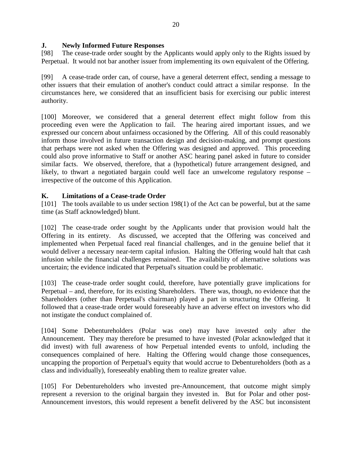#### <span id="page-21-0"></span>**J. Newly Informed Future Responses**

[98] The cease-trade order sought by the Applicants would apply only to the Rights issued by Perpetual. It would not bar another issuer from implementing its own equivalent of the Offering.

[99] A cease-trade order can, of course, have a general deterrent effect, sending a message to other issuers that their emulation of another's conduct could attract a similar response. In the circumstances here, we considered that an insufficient basis for exercising our public interest authority.

[100] Moreover, we considered that a general deterrent effect might follow from this proceeding even were the Application to fail. The hearing aired important issues, and we expressed our concern about unfairness occasioned by the Offering. All of this could reasonably inform those involved in future transaction design and decision-making, and prompt questions that perhaps were not asked when the Offering was designed and approved. This proceeding could also prove informative to Staff or another ASC hearing panel asked in future to consider similar facts. We observed, therefore, that a (hypothetical) future arrangement designed, and likely, to thwart a negotiated bargain could well face an unwelcome regulatory response – irrespective of the outcome of this Application.

#### <span id="page-21-1"></span>**K. Limitations of a Cease-trade Order**

[101] The tools available to us under section 198(1) of the Act can be powerful, but at the same time (as Staff acknowledged) blunt.

[102] The cease-trade order sought by the Applicants under that provision would halt the Offering in its entirety. As discussed, we accepted that the Offering was conceived and implemented when Perpetual faced real financial challenges, and in the genuine belief that it would deliver a necessary near-term capital infusion. Halting the Offering would halt that cash infusion while the financial challenges remained. The availability of alternative solutions was uncertain; the evidence indicated that Perpetual's situation could be problematic.

[103] The cease-trade order sought could, therefore, have potentially grave implications for Perpetual – and, therefore, for its existing Shareholders. There was, though, no evidence that the Shareholders (other than Perpetual's chairman) played a part in structuring the Offering. It followed that a cease-trade order would foreseeably have an adverse effect on investors who did not instigate the conduct complained of.

[104] Some Debentureholders (Polar was one) may have invested only after the Announcement. They may therefore be presumed to have invested (Polar acknowledged that it did invest) with full awareness of how Perpetual intended events to unfold, including the consequences complained of here. Halting the Offering would change those consequences, uncapping the proportion of Perpetual's equity that would accrue to Debentureholders (both as a class and individually), foreseeably enabling them to realize greater value.

[105] For Debentureholders who invested pre-Announcement, that outcome might simply represent a reversion to the original bargain they invested in. But for Polar and other post-Announcement investors, this would represent a benefit delivered by the ASC but inconsistent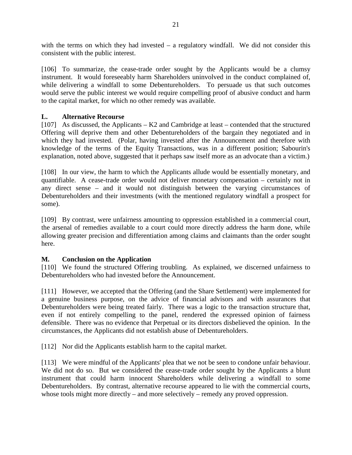with the terms on which they had invested  $-$  a regulatory windfall. We did not consider this consistent with the public interest.

[106] To summarize, the cease-trade order sought by the Applicants would be a clumsy instrument. It would foreseeably harm Shareholders uninvolved in the conduct complained of, while delivering a windfall to some Debentureholders. To persuade us that such outcomes would serve the public interest we would require compelling proof of abusive conduct and harm to the capital market, for which no other remedy was available.

#### <span id="page-22-0"></span>**L. Alternative Recourse**

[107] As discussed, the Applicants – K2 and Cambridge at least – contended that the structured Offering will deprive them and other Debentureholders of the bargain they negotiated and in which they had invested. (Polar, having invested after the Announcement and therefore with knowledge of the terms of the Equity Transactions, was in a different position; Sabourin's explanation, noted above, suggested that it perhaps saw itself more as an advocate than a victim.)

[108] In our view, the harm to which the Applicants allude would be essentially monetary, and quantifiable. A cease-trade order would not deliver monetary compensation – certainly not in any direct sense – and it would not distinguish between the varying circumstances of Debentureholders and their investments (with the mentioned regulatory windfall a prospect for some).

[109] By contrast, were unfairness amounting to oppression established in a commercial court, the arsenal of remedies available to a court could more directly address the harm done, while allowing greater precision and differentiation among claims and claimants than the order sought here.

# <span id="page-22-1"></span>**M. Conclusion on the Application**

[110] We found the structured Offering troubling. As explained, we discerned unfairness to Debentureholders who had invested before the Announcement.

[111] However, we accepted that the Offering (and the Share Settlement) were implemented for a genuine business purpose, on the advice of financial advisors and with assurances that Debentureholders were being treated fairly. There was a logic to the transaction structure that, even if not entirely compelling to the panel, rendered the expressed opinion of fairness defensible. There was no evidence that Perpetual or its directors disbelieved the opinion. In the circumstances, the Applicants did not establish abuse of Debentureholders.

[112] Nor did the Applicants establish harm to the capital market.

[113] We were mindful of the Applicants' plea that we not be seen to condone unfair behaviour. We did not do so. But we considered the cease-trade order sought by the Applicants a blunt instrument that could harm innocent Shareholders while delivering a windfall to some Debentureholders. By contrast, alternative recourse appeared to lie with the commercial courts, whose tools might more directly – and more selectively – remedy any proved oppression.